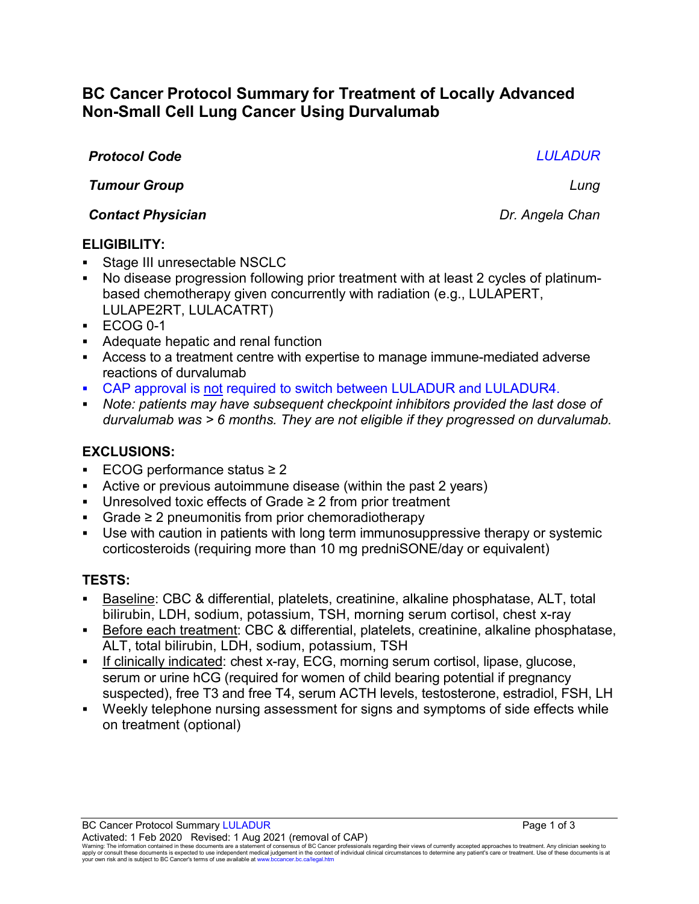# **BC Cancer Protocol Summary for Treatment of Locally Advanced Non-Small Cell Lung Cancer Using Durvalumab**

## *Protocol Code LULADUR*

*Tumour Group Lung*

*Contact Physician Dr. Angela Chan*

## **ELIGIBILITY:**

- Stage III unresectable NSCLC
- No disease progression following prior treatment with at least 2 cycles of platinumbased chemotherapy given concurrently with radiation (e.g., LULAPERT, LULAPE2RT, LULACATRT)
- $\textdegree$  ECOG 0-1
- Adequate hepatic and renal function
- Access to a treatment centre with expertise to manage immune-mediated adverse reactions of durvalumab
- CAP approval is not required to switch between LULADUR and LULADUR4.
- *Note: patients may have subsequent checkpoint inhibitors provided the last dose of durvalumab was > 6 months. They are not eligible if they progressed on durvalumab.*

## **EXCLUSIONS:**

- ECOG performance status ≥ 2
- Active or previous autoimmune disease (within the past 2 years)
- Unresolved toxic effects of Grade ≥ 2 from prior treatment
- Grade ≥ 2 pneumonitis from prior chemoradiotherapy
- Use with caution in patients with long term immunosuppressive therapy or systemic corticosteroids (requiring more than 10 mg predniSONE/day or equivalent)

## **TESTS:**

- Baseline: CBC & differential, platelets, creatinine, alkaline phosphatase, ALT, total bilirubin, LDH, sodium, potassium, TSH, morning serum cortisol, chest x-ray
- Before each treatment: CBC & differential, platelets, creatinine, alkaline phosphatase, ALT, total bilirubin, LDH, sodium, potassium, TSH
- If clinically indicated: chest x-ray, ECG, morning serum cortisol, lipase, glucose, serum or urine hCG (required for women of child bearing potential if pregnancy suspected), free T3 and free T4, serum ACTH levels, testosterone, estradiol, FSH, LH
- Weekly telephone nursing assessment for signs and symptoms of side effects while on treatment (optional)

BC Cancer Protocol Summary LULADUR **Page 1 of 3** Activated: 1 Feb 2020 Revised: 1 Aug 2021 (removal of CAP)

Warning: The information contained in these documents are a statement of consensus of BC Cancer professionals regarding their views of currently accepted approaches to treatment. Any clinician seeking to<br>apply or consult t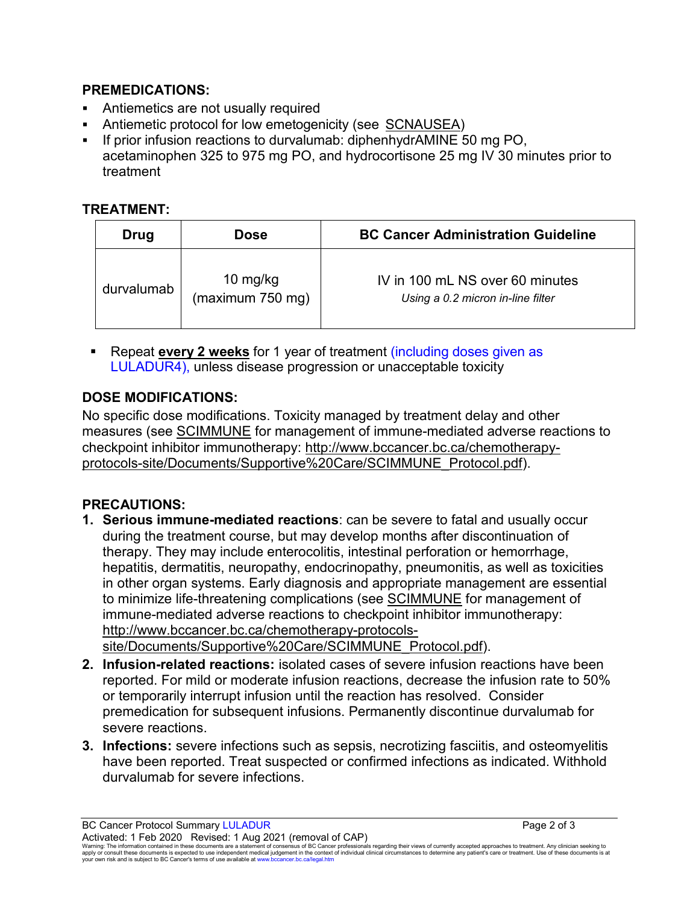## **PREMEDICATIONS:**

- Antiemetics are not usually required
- Antiemetic protocol for low emetogenicity (see [SCNAUSEA\)](http://www.bccancer.bc.ca/chemotherapy-protocols-site/Documents/Supportive%20Care/SCNAUSEA_Protocol.pdf)
- **If prior infusion reactions to durvalumab: diphenhydrAMINE 50 mg PO,** acetaminophen 325 to 975 mg PO, and hydrocortisone 25 mg IV 30 minutes prior to treatment

## **TREATMENT:**

| Drug       | Dose                         | <b>BC Cancer Administration Guideline</b>                            |
|------------|------------------------------|----------------------------------------------------------------------|
| durvalumab | 10 mg/kg<br>(maximum 750 mg) | IV in 100 mL NS over 60 minutes<br>Using a 0.2 micron in-line filter |

 Repeat **every 2 weeks** for 1 year of treatment (including doses given as LULADUR4), unless disease progression or unacceptable toxicity

# **DOSE MODIFICATIONS:**

No specific dose modifications. Toxicity managed by treatment delay and other measures (see [SCIMMUNE](http://www.bccancer.bc.ca/chemotherapy-protocols-site/Documents/Supportive%20Care/SCIMMUNE_Protocol.pdf) for management of immune-mediated adverse reactions to checkpoint inhibitor immunotherapy: [http://www.bccancer.bc.ca/chemotherapy](http://www.bccancer.bc.ca/chemotherapy-protocols-site/Documents/Supportive%20Care/SCIMMUNE_Protocol.pdf)[protocols-site/Documents/Supportive%20Care/SCIMMUNE\\_Protocol.pdf\)](http://www.bccancer.bc.ca/chemotherapy-protocols-site/Documents/Supportive%20Care/SCIMMUNE_Protocol.pdf).

## **PRECAUTIONS:**

- **1. Serious immune-mediated reactions**: can be severe to fatal and usually occur during the treatment course, but may develop months after discontinuation of therapy. They may include enterocolitis, intestinal perforation or hemorrhage, hepatitis, dermatitis, neuropathy, endocrinopathy, pneumonitis, as well as toxicities in other organ systems. Early diagnosis and appropriate management are essential to minimize life-threatening complications (see [SCIMMUNE](http://www.bccancer.bc.ca/chemotherapy-protocols-site/Documents/Supportive%20Care/SCIMMUNE_Protocol.pdf) for management of immune-mediated adverse reactions to checkpoint inhibitor immunotherapy: [http://www.bccancer.bc.ca/chemotherapy-protocols](http://www.bccancer.bc.ca/chemotherapy-protocols-site/Documents/Supportive%20Care/SCIMMUNE_Protocol.pdf)[site/Documents/Supportive%20Care/SCIMMUNE\\_Protocol.pdf\)](http://www.bccancer.bc.ca/chemotherapy-protocols-site/Documents/Supportive%20Care/SCIMMUNE_Protocol.pdf).
- **2. Infusion-related reactions:** isolated cases of severe infusion reactions have been reported. For mild or moderate infusion reactions, decrease the infusion rate to 50% or temporarily interrupt infusion until the reaction has resolved. Consider premedication for subsequent infusions. Permanently discontinue durvalumab for severe reactions.
- **3. Infections:** severe infections such as sepsis, necrotizing fasciitis, and osteomyelitis have been reported. Treat suspected or confirmed infections as indicated. Withhold durvalumab for severe infections.

BC Cancer Protocol Summary LULADUR **Page 2 of 3** Activated: 1 Feb 2020 Revised: 1 Aug 2021 (removal of CAP)

Warning: The information contained in these documents are a statement of consensus of BC Cancer professionals regarding their views of currently accepted approaches to treatment. Any clinician seeking to<br>apply or consult t